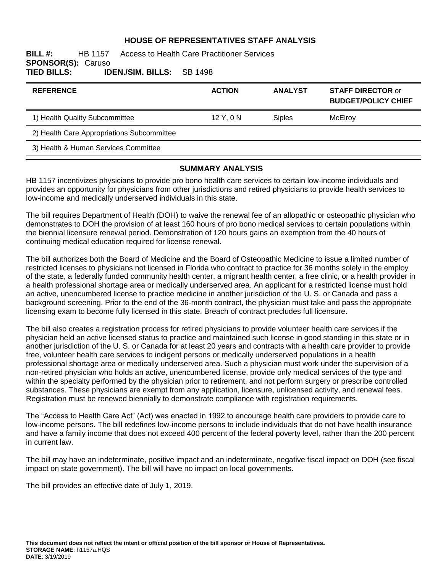#### **HOUSE OF REPRESENTATIVES STAFF ANALYSIS**

**BILL #:** HB 1157 Access to Health Care Practitioner Services **SPONSOR(S): Caruso<br>TIED BILLS: ID TIED BILLS: IDEN./SIM. BILLS:** SB 1498

| <b>REFERENCE</b>                           | <b>ACTION</b> | <b>ANALYST</b> | <b>STAFF DIRECTOR or</b><br><b>BUDGET/POLICY CHIEF</b> |
|--------------------------------------------|---------------|----------------|--------------------------------------------------------|
| 1) Health Quality Subcommittee             | $12$ Y, 0 N   | <b>Siples</b>  | McElroy                                                |
| 2) Health Care Appropriations Subcommittee |               |                |                                                        |
| 3) Health & Human Services Committee       |               |                |                                                        |

#### **SUMMARY ANALYSIS**

HB 1157 incentivizes physicians to provide pro bono health care services to certain low-income individuals and provides an opportunity for physicians from other jurisdictions and retired physicians to provide health services to low-income and medically underserved individuals in this state.

The bill requires Department of Health (DOH) to waive the renewal fee of an allopathic or osteopathic physician who demonstrates to DOH the provision of at least 160 hours of pro bono medical services to certain populations within the biennial licensure renewal period. Demonstration of 120 hours gains an exemption from the 40 hours of continuing medical education required for license renewal.

The bill authorizes both the Board of Medicine and the Board of Osteopathic Medicine to issue a limited number of restricted licenses to physicians not licensed in Florida who contract to practice for 36 months solely in the employ of the state, a federally funded community health center, a migrant health center, a free clinic, or a health provider in a health professional shortage area or medically underserved area. An applicant for a restricted license must hold an active, unencumbered license to practice medicine in another jurisdiction of the U. S. or Canada and pass a background screening. Prior to the end of the 36-month contract, the physician must take and pass the appropriate licensing exam to become fully licensed in this state. Breach of contract precludes full licensure.

The bill also creates a registration process for retired physicians to provide volunteer health care services if the physician held an active licensed status to practice and maintained such license in good standing in this state or in another jurisdiction of the U. S. or Canada for at least 20 years and contracts with a health care provider to provide free, volunteer health care services to indigent persons or medically underserved populations in a health professional shortage area or medically underserved area. Such a physician must work under the supervision of a non-retired physician who holds an active, unencumbered license, provide only medical services of the type and within the specialty performed by the physician prior to retirement, and not perform surgery or prescribe controlled substances. These physicians are exempt from any application, licensure, unlicensed activity, and renewal fees. Registration must be renewed biennially to demonstrate compliance with registration requirements.

The "Access to Health Care Act" (Act) was enacted in 1992 to encourage health care providers to provide care to low-income persons. The bill redefines low-income persons to include individuals that do not have health insurance and have a family income that does not exceed 400 percent of the federal poverty level, rather than the 200 percent in current law.

The bill may have an indeterminate, positive impact and an indeterminate, negative fiscal impact on DOH (see fiscal impact on state government). The bill will have no impact on local governments.

The bill provides an effective date of July 1, 2019.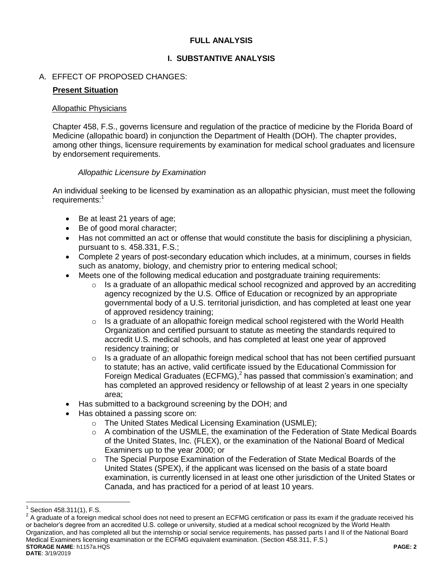# **FULL ANALYSIS**

# **I. SUBSTANTIVE ANALYSIS**

# A. EFFECT OF PROPOSED CHANGES:

### **Present Situation**

#### Allopathic Physicians

Chapter 458, F.S., governs licensure and regulation of the practice of medicine by the Florida Board of Medicine (allopathic board) in conjunction the Department of Health (DOH). The chapter provides, among other things, licensure requirements by examination for medical school graduates and licensure by endorsement requirements.

### *Allopathic Licensure by Examination*

An individual seeking to be licensed by examination as an allopathic physician, must meet the following requirements:<sup>1</sup>

- Be at least 21 years of age;
- Be of good moral character;
- Has not committed an act or offense that would constitute the basis for disciplining a physician, pursuant to s. 458.331, F.S.;
- Complete 2 years of post-secondary education which includes, at a minimum, courses in fields such as anatomy, biology, and chemistry prior to entering medical school;
- Meets one of the following medical education and postgraduate training requirements:
	- $\circ$  Is a graduate of an allopathic medical school recognized and approved by an accrediting agency recognized by the U.S. Office of Education or recognized by an appropriate governmental body of a U.S. territorial jurisdiction, and has completed at least one year of approved residency training;
	- o Is a graduate of an allopathic foreign medical school registered with the World Health Organization and certified pursuant to statute as meeting the standards required to accredit U.S. medical schools, and has completed at least one year of approved residency training; or
	- o Is a graduate of an allopathic foreign medical school that has not been certified pursuant to statute; has an active, valid certificate issued by the Educational Commission for Foreign Medical Graduates (ECFMG), $<sup>2</sup>$  has passed that commission's examination; and</sup> has completed an approved residency or fellowship of at least 2 years in one specialty area;
- Has submitted to a background screening by the DOH; and
- Has obtained a passing score on:
	- o The United States Medical Licensing Examination (USMLE);
	- $\circ$  A combination of the USMLE, the examination of the Federation of State Medical Boards of the United States, Inc. (FLEX), or the examination of the National Board of Medical Examiners up to the year 2000; or
	- o The Special Purpose Examination of the Federation of State Medical Boards of the United States (SPEX), if the applicant was licensed on the basis of a state board examination, is currently licensed in at least one other jurisdiction of the United States or Canada, and has practiced for a period of at least 10 years.

<sup>1</sup> Section 458.311(1), F.S.

**STORAGE NAME**: h1157a.HQS **PAGE: 2 DATE**: 3/19/2019  $2$  A graduate of a foreign medical school does not need to present an ECFMG certification or pass its exam if the graduate received his or bachelor's degree from an accredited U.S. college or university, studied at a medical school recognized by the World Health Organization, and has completed all but the internship or social service requirements, has passed parts I and II of the National Board Medical Examiners licensing examination or the ECFMG equivalent examination. (Section 458.311, F.S.)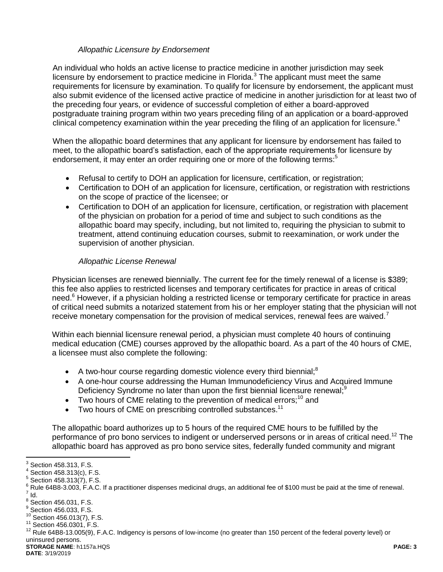# *Allopathic Licensure by Endorsement*

An individual who holds an active license to practice medicine in another jurisdiction may seek licensure by endorsement to practice medicine in Florida. $3$  The applicant must meet the same requirements for licensure by examination. To qualify for licensure by endorsement, the applicant must also submit evidence of the licensed active practice of medicine in another jurisdiction for at least two of the preceding four years, or evidence of successful completion of either a board-approved postgraduate training program within two years preceding filing of an application or a board-approved clinical competency examination within the year preceding the filing of an application for licensure.<sup>4</sup>

When the allopathic board determines that any applicant for licensure by endorsement has failed to meet, to the allopathic board's satisfaction, each of the appropriate requirements for licensure by endorsement, it may enter an order requiring one or more of the following terms:<sup>5</sup>

- Refusal to certify to DOH an application for licensure, certification, or registration;
- Certification to DOH of an application for licensure, certification, or registration with restrictions on the scope of practice of the licensee; or
- Certification to DOH of an application for licensure, certification, or registration with placement of the physician on probation for a period of time and subject to such conditions as the allopathic board may specify, including, but not limited to, requiring the physician to submit to treatment, attend continuing education courses, submit to reexamination, or work under the supervision of another physician.

# *Allopathic License Renewal*

Physician licenses are renewed biennially. The current fee for the timely renewal of a license is \$389; this fee also applies to restricted licenses and temporary certificates for practice in areas of critical need.<sup>6</sup> However, if a physician holding a restricted license or temporary certificate for practice in areas of critical need submits a notarized statement from his or her employer stating that the physician will not receive monetary compensation for the provision of medical services, renewal fees are waived.

Within each biennial licensure renewal period, a physician must complete 40 hours of continuing medical education (CME) courses approved by the allopathic board. As a part of the 40 hours of CME, a licensee must also complete the following:

- A two-hour course regarding domestic violence every third biennial;<sup>8</sup>
- A one-hour course addressing the Human Immunodeficiency Virus and Acquired Immune Deficiency Syndrome no later than upon the first biennial licensure renewal;<sup>9</sup>
- $\bullet$  Two hours of CME relating to the prevention of medical errors:<sup>10</sup> and
- Two hours of CME on prescribing controlled substances.<sup>11</sup>

The allopathic board authorizes up to 5 hours of the required CME hours to be fulfilled by the performance of pro bono services to indigent or underserved persons or in areas of critical need.<sup>12</sup> The allopathic board has approved as pro bono service sites, federally funded community and migrant

 3 Section 458.313, F.S.

 $4$  Section 458.313(c), F.S.

 $5$  Section 458.313(7), F.S.

<sup>&</sup>lt;sup>6</sup> Rule 64B8-3.003, F.A.C. If a practitioner dispenses medicinal drugs, an additional fee of \$100 must be paid at the time of renewal.  $^7$  Id.

 $8$  Section 456.031, F.S.

 $^9$  Section 456.033, F.S.

<sup>10</sup> Section 456.013(7), F.S.

<sup>11</sup> Section 456.0301, F.S.

<sup>12</sup> Rule 64B8-13.005(9), F.A.C. Indigency is persons of low-income (no greater than 150 percent of the federal poverty level) or uninsured persons.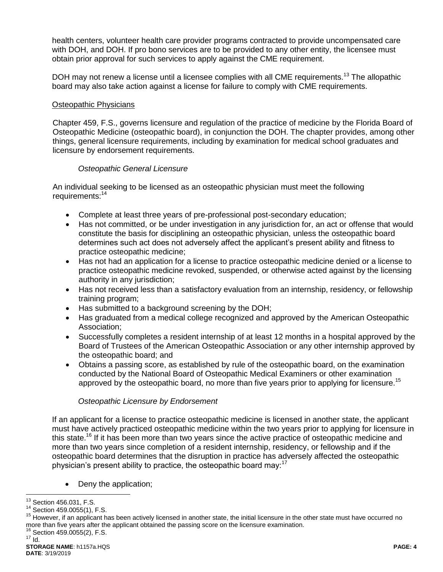health centers, volunteer health care provider programs contracted to provide uncompensated care with DOH, and DOH. If pro bono services are to be provided to any other entity, the licensee must obtain prior approval for such services to apply against the CME requirement.

DOH may not renew a license until a licensee complies with all CME requirements.<sup>13</sup> The allopathic board may also take action against a license for failure to comply with CME requirements.

### Osteopathic Physicians

Chapter 459, F.S., governs licensure and regulation of the practice of medicine by the Florida Board of Osteopathic Medicine (osteopathic board), in conjunction the DOH. The chapter provides, among other things, general licensure requirements, including by examination for medical school graduates and licensure by endorsement requirements.

#### *Osteopathic General Licensure*

An individual seeking to be licensed as an osteopathic physician must meet the following requirements:<sup>14</sup>

- Complete at least three years of pre-professional post-secondary education;
- Has not committed, or be under investigation in any jurisdiction for, an act or offense that would constitute the basis for disciplining an osteopathic physician, unless the osteopathic board determines such act does not adversely affect the applicant's present ability and fitness to practice osteopathic medicine;
- Has not had an application for a license to practice osteopathic medicine denied or a license to practice osteopathic medicine revoked, suspended, or otherwise acted against by the licensing authority in any jurisdiction;
- Has not received less than a satisfactory evaluation from an internship, residency, or fellowship training program;
- Has submitted to a background screening by the DOH;
- Has graduated from a medical college recognized and approved by the American Osteopathic Association;
- Successfully completes a resident internship of at least 12 months in a hospital approved by the Board of Trustees of the American Osteopathic Association or any other internship approved by the osteopathic board; and
- Obtains a passing score, as established by rule of the osteopathic board, on the examination conducted by the National Board of Osteopathic Medical Examiners or other examination approved by the osteopathic board, no more than five years prior to applying for licensure.<sup>15</sup>

### *Osteopathic Licensure by Endorsement*

If an applicant for a license to practice osteopathic medicine is licensed in another state, the applicant must have actively practiced osteopathic medicine within the two years prior to applying for licensure in this state.<sup>16</sup> If it has been more than two years since the active practice of osteopathic medicine and more than two years since completion of a resident internship, residency, or fellowship and if the osteopathic board determines that the disruption in practice has adversely affected the osteopathic physician's present ability to practice, the osteopathic board may: $17$ 

• Deny the application;

 $16$  Section 459.0055(2), F.S.

 $\overline{a}$  $13$  Section 456.031, F.S.

<sup>14</sup> Section 459.0055(1), F.S.

<sup>&</sup>lt;sup>15</sup> However, if an applicant has been actively licensed in another state, the initial licensure in the other state must have occurred no more than five years after the applicant obtained the passing score on the licensure examination.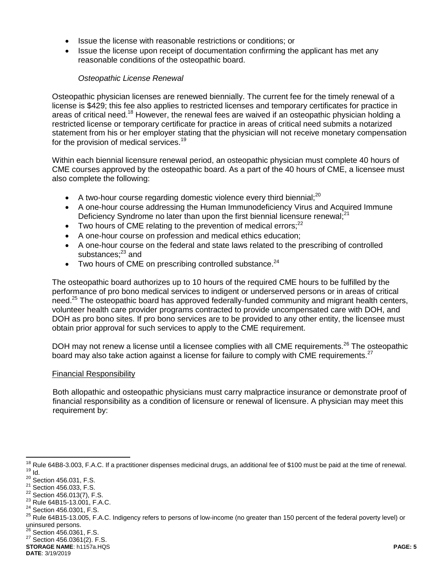- Issue the license with reasonable restrictions or conditions; or
- Issue the license upon receipt of documentation confirming the applicant has met any reasonable conditions of the osteopathic board.

### *Osteopathic License Renewal*

Osteopathic physician licenses are renewed biennially. The current fee for the timely renewal of a license is \$429; this fee also applies to restricted licenses and temporary certificates for practice in areas of critical need.<sup>18</sup> However, the renewal fees are waived if an osteopathic physician holding a restricted license or temporary certificate for practice in areas of critical need submits a notarized statement from his or her employer stating that the physician will not receive monetary compensation for the provision of medical services.<sup>19</sup>

Within each biennial licensure renewal period, an osteopathic physician must complete 40 hours of CME courses approved by the osteopathic board. As a part of the 40 hours of CME, a licensee must also complete the following:

- A two-hour course regarding domestic violence every third biennial;<sup>20</sup>
- A one-hour course addressing the Human Immunodeficiency Virus and Acquired Immune Deficiency Syndrome no later than upon the first biennial licensure renewal; $^{21}$
- $\bullet$  Two hours of CME relating to the prevention of medical errors:<sup>22</sup>
- A one-hour course on profession and medical ethics education;
- A one-hour course on the federal and state laws related to the prescribing of controlled substances; $^{23}$  and
- $\bullet$  Two hours of CME on prescribing controlled substance.<sup>24</sup>

The osteopathic board authorizes up to 10 hours of the required CME hours to be fulfilled by the performance of pro bono medical services to indigent or underserved persons or in areas of critical need.<sup>25</sup> The osteopathic board has approved federally-funded community and migrant health centers, volunteer health care provider programs contracted to provide uncompensated care with DOH, and DOH as pro bono sites. If pro bono services are to be provided to any other entity, the licensee must obtain prior approval for such services to apply to the CME requirement.

DOH may not renew a license until a licensee complies with all CME requirements.<sup>26</sup> The osteopathic board may also take action against a license for failure to comply with CME requirements.<sup>27</sup>

#### Financial Responsibility

Both allopathic and osteopathic physicians must carry malpractice insurance or demonstrate proof of financial responsibility as a condition of licensure or renewal of licensure. A physician may meet this requirement by:

```
STORAGE NAME: h1157a.HQS PAGE: 5
DATE: 3/19/2019
```
 $\overline{a}$  $18$  Rule 64B8-3.003, F.A.C. If a practitioner dispenses medicinal drugs, an additional fee of \$100 must be paid at the time of renewal.  $19$  Id.

 $20$  Section 456.031, F.S.

<sup>21</sup> Section 456.033, F.S.

<sup>&</sup>lt;sup>22</sup> Section 456.013(7), F.S.

<sup>23</sup> Rule 64B15-13.001, F.A.C.

<sup>&</sup>lt;sup>24</sup> Section 456.0301, F.S.

<sup>&</sup>lt;sup>25</sup> Rule 64B15-13.005, F.A.C. Indigency refers to persons of low-income (no greater than 150 percent of the federal poverty level) or uninsured persons.

 $^{26}$  Section 456.0361, F.S.

<sup>27</sup> Section 456.0361(2). F.S.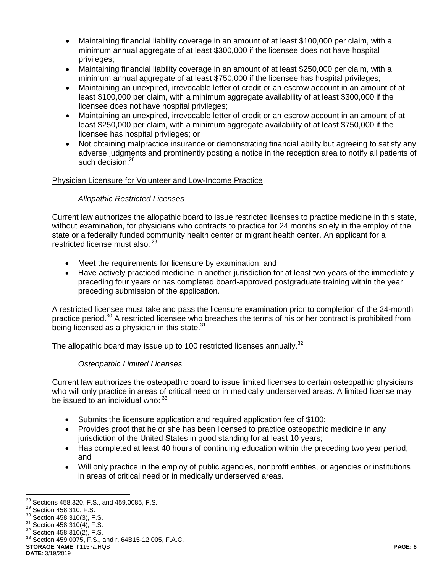- Maintaining financial liability coverage in an amount of at least \$100,000 per claim, with a minimum annual aggregate of at least \$300,000 if the licensee does not have hospital privileges;
- Maintaining financial liability coverage in an amount of at least \$250,000 per claim, with a minimum annual aggregate of at least \$750,000 if the licensee has hospital privileges;
- Maintaining an unexpired, irrevocable letter of credit or an escrow account in an amount of at least \$100,000 per claim, with a minimum aggregate availability of at least \$300,000 if the licensee does not have hospital privileges;
- Maintaining an unexpired, irrevocable letter of credit or an escrow account in an amount of at least \$250,000 per claim, with a minimum aggregate availability of at least \$750,000 if the licensee has hospital privileges; or
- Not obtaining malpractice insurance or demonstrating financial ability but agreeing to satisfy any adverse judgments and prominently posting a notice in the reception area to notify all patients of such decision.<sup>28</sup>

### Physician Licensure for Volunteer and Low-Income Practice

# *Allopathic Restricted Licenses*

Current law authorizes the allopathic board to issue restricted licenses to practice medicine in this state, without examination, for physicians who contracts to practice for 24 months solely in the employ of the state or a federally funded community health center or migrant health center. An applicant for a restricted license must also: <sup>29</sup>

- Meet the requirements for licensure by examination; and
- Have actively practiced medicine in another jurisdiction for at least two years of the immediately preceding four years or has completed board-approved postgraduate training within the year preceding submission of the application.

A restricted licensee must take and pass the licensure examination prior to completion of the 24-month practice period.<sup>30</sup> A restricted licensee who breaches the terms of his or her contract is prohibited from being licensed as a physician in this state. $31$ 

The allopathic board may issue up to 100 restricted licenses annually.<sup>32</sup>

### *Osteopathic Limited Licenses*

Current law authorizes the osteopathic board to issue limited licenses to certain osteopathic physicians who will only practice in areas of critical need or in medically underserved areas. A limited license may be issued to an individual who:  $33$ 

- Submits the licensure application and required application fee of \$100;
- Provides proof that he or she has been licensed to practice osteopathic medicine in any jurisdiction of the United States in good standing for at least 10 years;
- Has completed at least 40 hours of continuing education within the preceding two year period; and
- Will only practice in the employ of public agencies, nonprofit entities, or agencies or institutions in areas of critical need or in medically underserved areas.

**STORAGE NAME**: h1157a.HQS **PAGE: 6 DATE**: 3/19/2019

 $\overline{a}$  $^{28}$  Sections 458.320, F.S., and 459.0085, F.S.

<sup>&</sup>lt;sup>29</sup> Section 458.310, F.S.

<sup>30</sup> Section 458.310(3), F.S.

<sup>&</sup>lt;sup>31</sup> Section 458.310(4), F.S.

<sup>32</sup> Section 458.310(2), F.S.

<sup>33</sup> Section 459.0075, F.S., and r. 64B15-12.005, F.A.C.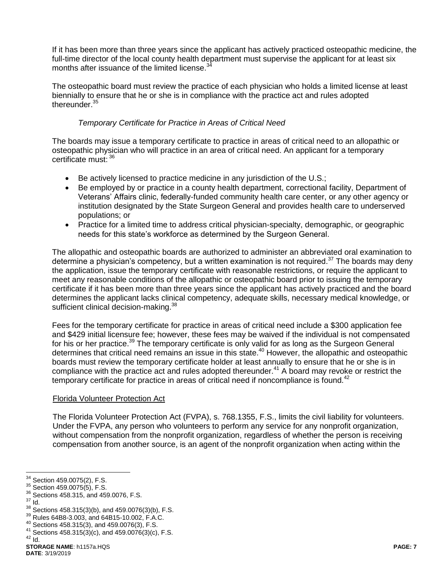If it has been more than three years since the applicant has actively practiced osteopathic medicine, the full-time director of the local county health department must supervise the applicant for at least six months after issuance of the limited license.<sup>3</sup>

The osteopathic board must review the practice of each physician who holds a limited license at least biennially to ensure that he or she is in compliance with the practice act and rules adopted thereunder.<sup>35</sup>

### *Temporary Certificate for Practice in Areas of Critical Need*

The boards may issue a temporary certificate to practice in areas of critical need to an allopathic or osteopathic physician who will practice in an area of critical need. An applicant for a temporary certificate must: <sup>36</sup>

- Be actively licensed to practice medicine in any jurisdiction of the U.S.;
- Be employed by or practice in a county health department, correctional facility, Department of Veterans' Affairs clinic, federally-funded community health care center, or any other agency or institution designated by the State Surgeon General and provides health care to underserved populations; or
- Practice for a limited time to address critical physician-specialty, demographic, or geographic needs for this state's workforce as determined by the Surgeon General.

The allopathic and osteopathic boards are authorized to administer an abbreviated oral examination to determine a physician's competency, but a written examination is not required.<sup>37</sup> The boards may deny the application, issue the temporary certificate with reasonable restrictions, or require the applicant to meet any reasonable conditions of the allopathic or osteopathic board prior to issuing the temporary certificate if it has been more than three years since the applicant has actively practiced and the board determines the applicant lacks clinical competency, adequate skills, necessary medical knowledge, or sufficient clinical decision-making.<sup>38</sup>

Fees for the temporary certificate for practice in areas of critical need include a \$300 application fee and \$429 initial licensure fee; however, these fees may be waived if the individual is not compensated for his or her practice.<sup>39</sup> The temporary certificate is only valid for as long as the Surgeon General determines that critical need remains an issue in this state.<sup>40</sup> However, the allopathic and osteopathic boards must review the temporary certificate holder at least annually to ensure that he or she is in compliance with the practice act and rules adopted thereunder.<sup>41</sup> A board may revoke or restrict the temporary certificate for practice in areas of critical need if noncompliance is found.<sup>42</sup>

#### Florida Volunteer Protection Act

The Florida Volunteer Protection Act (FVPA), s. 768.1355, F.S., limits the civil liability for volunteers. Under the FVPA, any person who volunteers to perform any service for any nonprofit organization, without compensation from the nonprofit organization, regardless of whether the person is receiving compensation from another source, is an agent of the nonprofit organization when acting within the

<sup>37</sup> Id.

 $\overline{a}$ 

 $42$  Id.

<sup>&</sup>lt;sup>34</sup> Section 459.0075(2), F.S.

<sup>35</sup> Section 459.0075(5), F.S.

<sup>36</sup> Sections 458.315, and 459.0076, F.S.

 $38$  Sections 458.315(3)(b), and 459.0076(3)(b), F.S.

<sup>39</sup> Rules 64B8-3.003, and 64B15-10.002, F.A.C.

<sup>40</sup> Sections 458.315(3), and 459.0076(3), F.S.

 $41$  Sections  $458.315(3)(c)$ , and  $459.0076(3)(c)$ , F.S.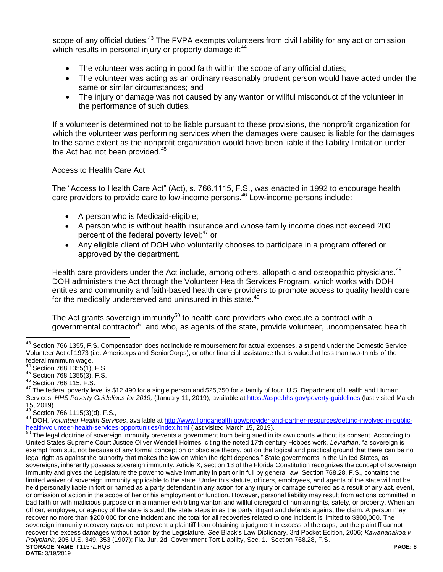scope of any official duties.<sup>43</sup> The FVPA exempts volunteers from civil liability for any act or omission which results in personal injury or property damage if:<sup>44</sup>

- The volunteer was acting in good faith within the scope of any official duties;
- The volunteer was acting as an ordinary reasonably prudent person would have acted under the same or similar circumstances; and
- The injury or damage was not caused by any wanton or willful misconduct of the volunteer in the performance of such duties.

If a volunteer is determined not to be liable pursuant to these provisions, the nonprofit organization for which the volunteer was performing services when the damages were caused is liable for the damages to the same extent as the nonprofit organization would have been liable if the liability limitation under the Act had not been provided.<sup>45</sup>

#### Access to Health Care Act

The "Access to Health Care Act" (Act), s. 766.1115, F.S., was enacted in 1992 to encourage health care providers to provide care to low-income persons.<sup>46</sup> Low-income persons include:

- A person who is Medicaid-eligible;
- A person who is without health insurance and whose family income does not exceed 200 percent of the federal poverty level;<sup>47</sup> or
- Any eligible client of DOH who voluntarily chooses to participate in a program offered or approved by the department.

Health care providers under the Act include, among others, allopathic and osteopathic physicians.<sup>48</sup> DOH administers the Act through the Volunteer Health Services Program, which works with DOH entities and community and faith-based health care providers to promote access to quality health care for the medically underserved and uninsured in this state.<sup>49</sup>

The Act grants sovereign immunity<sup>50</sup> to health care providers who execute a contract with a governmental contractor<sup>51</sup> and who, as agents of the state, provide volunteer, uncompensated health

 $\overline{a}$ 

**STORAGE NAME**: h1157a.HQS **PAGE: 8 DATE**: 3/19/2019 The legal doctrine of sovereign immunity prevents a government from being sued in its own courts without its consent. According to United States Supreme Court Justice Oliver Wendell Holmes, citing the noted 17th century Hobbes work, *Leviathan*, "a sovereign is exempt from suit, not because of any formal conception or obsolete theory, but on the logical and practical ground that there can be no legal right as against the authority that makes the law on which the right depends." State governments in the United States, as sovereigns, inherently possess sovereign immunity. Article X, section 13 of the Florida Constitution recognizes the concept of sovereign immunity and gives the Legislature the power to waive immunity in part or in full by general law. Section 768.28, F.S., contains the limited waiver of sovereign immunity applicable to the state. Under this statute, officers, employees, and agents of the state will not be held personally liable in tort or named as a party defendant in any action for any injury or damage suffered as a result of any act, event, or omission of action in the scope of her or his employment or function. However, personal liability may result from actions committed in bad faith or with malicious purpose or in a manner exhibiting wanton and willful disregard of human rights, safety, or property. When an officer, employee, or agency of the state is sued, the state steps in as the party litigant and defends against the claim. A person may recover no more than \$200,000 for one incident and the total for all recoveries related to one incident is limited to \$300,000. The sovereign immunity recovery caps do not prevent a plaintiff from obtaining a judgment in excess of the caps, but the plaintiff cannot recover the excess damages without action by the Legislature. *See* Black's Law Dictionary, 3rd Pocket Edition, 2006; *Kawananakoa v Polyblank*, 205 U.S. 349, 353 (1907); Fla. Jur. 2d, Government Tort Liability, Sec. 1.; Section 768.28, F.S.

<sup>&</sup>lt;sup>43</sup> Section 766.1355, F.S. Compensation does not include reimbursement for actual expenses, a stipend under the Domestic Service Volunteer Act of 1973 (i.e. Americorps and SeniorCorps), or other financial assistance that is valued at less than two-thirds of the federal minimum wage.

Section 768.1355(1), F.S.

<sup>45</sup> Section 768.1355(3), F.S.

<sup>46</sup> Section 766.115, F.S.

<sup>&</sup>lt;sup>47</sup> The federal poverty level is \$12,490 for a single person and \$25,750 for a family of four. U.S. Department of Health and Human Services, *HHS Poverty Guidelines for 2019,* (January 11, 2019), available a[t https://aspe.hhs.gov/poverty-guidelines](https://aspe.hhs.gov/poverty-guidelines) (last visited March  $15, 2019$ ).

Section 766.1115(3)(d), F.S.,

<sup>49</sup> DOH, *Volunteer Health Services*, available at [http://www.floridahealth.gov/provider-and-partner-resources/getting-involved-in-public](http://www.floridahealth.gov/provider-and-partner-resources/getting-involved-in-public-health/volunteer-health-services-opportunities/index.html)[health/volunteer-health-services-opportunities/index.html](http://www.floridahealth.gov/provider-and-partner-resources/getting-involved-in-public-health/volunteer-health-services-opportunities/index.html) (last visited March 15, 2019).<br>50 The legal doctring of access opportunities/index.html (last visited March 15, 2019).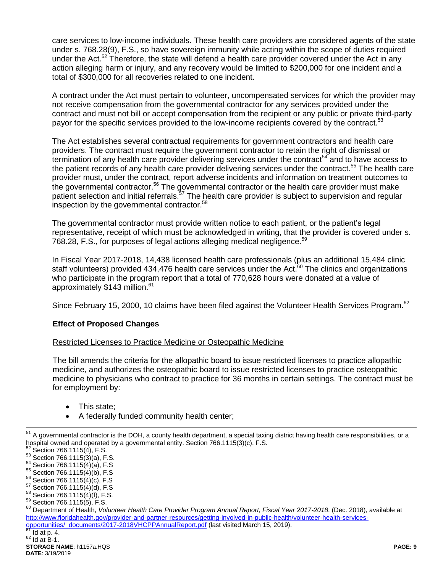care services to low-income individuals. These health care providers are considered agents of the state under s. 768.28(9), F.S., so have sovereign immunity while acting within the scope of duties required under the Act.<sup>52</sup> Therefore, the state will defend a health care provider covered under the Act in any action alleging harm or injury, and any recovery would be limited to \$200,000 for one incident and a total of \$300,000 for all recoveries related to one incident.

A contract under the Act must pertain to volunteer, uncompensated services for which the provider may not receive compensation from the governmental contractor for any services provided under the contract and must not bill or accept compensation from the recipient or any public or private third-party payor for the specific services provided to the low-income recipients covered by the contract.<sup>53</sup>

The Act establishes several contractual requirements for government contractors and health care providers. The contract must require the government contractor to retain the right of dismissal or termination of any health care provider delivering services under the contract<sup>54</sup> and to have access to the patient records of any health care provider delivering services under the contract.<sup>55</sup> The health care provider must, under the contract, report adverse incidents and information on treatment outcomes to the governmental contractor.<sup>56</sup> The governmental contractor or the health care provider must make patient selection and initial referrals.<sup>57</sup> The health care provider is subject to supervision and regular inspection by the governmental contractor.<sup>58</sup>

The governmental contractor must provide written notice to each patient, or the patient's legal representative, receipt of which must be acknowledged in writing, that the provider is covered under s. 768.28, F.S., for purposes of legal actions alleging medical negligence.<sup>59</sup>

In Fiscal Year 2017-2018, 14,438 licensed health care professionals (plus an additional 15,484 clinic staff volunteers) provided 434,476 health care services under the Act. $60$  The clinics and organizations who participate in the program report that a total of 770,628 hours were donated at a value of approximately \$143 million.<sup>61</sup>

Since February 15, 2000, 10 claims have been filed against the Volunteer Health Services Program.<sup>62</sup>

### **Effect of Proposed Changes**

### Restricted Licenses to Practice Medicine or Osteopathic Medicine

The bill amends the criteria for the allopathic board to issue restricted licenses to practice allopathic medicine, and authorizes the osteopathic board to issue restricted licenses to practice osteopathic medicine to physicians who contract to practice for 36 months in certain settings. The contract must be for employment by:

- This state;
- A federally funded community health center;

 $^{51}$  A governmental contractor is the DOH, a county health department, a special taxing district having health care responsibilities, or a hospital owned and operated by a governmental entity. Section 766.1115(3)(c), F.S.

Section 766.1115(4), F.S.  $53$  Section 766.1115(3)(a), F.S.

<sup>54</sup> Section 766.1115(4)(a), F.S

<sup>55</sup> Section 766.1115(4)(b), F.S

<sup>56</sup> Section 766.1115(4)(c), F.S <sup>57</sup> Section 766.1115(4)(d), F.S

<sup>58</sup> Section 766.1115(4)(f), F.S.

<sup>59</sup> Section 766.1115(5), F.S.

<sup>60</sup> Department of Health, *Volunteer Health Care Provider Program Annual Report, Fiscal Year 2017-2018*, (Dec. 2018), available at [http://www.floridahealth.gov/provider-and-partner-resources/getting-involved-in-public-health/volunteer-health-services](http://www.floridahealth.gov/provider-and-partner-resources/getting-involved-in-public-health/volunteer-health-services-opportunities/_documents/2017-2018VHCPPAnnualReport.pdf)[opportunities/\\_documents/2017-2018VHCPPAnnualReport.pdf](http://www.floridahealth.gov/provider-and-partner-resources/getting-involved-in-public-health/volunteer-health-services-opportunities/_documents/2017-2018VHCPPAnnualReport.pdf) (last visited March 15, 2019).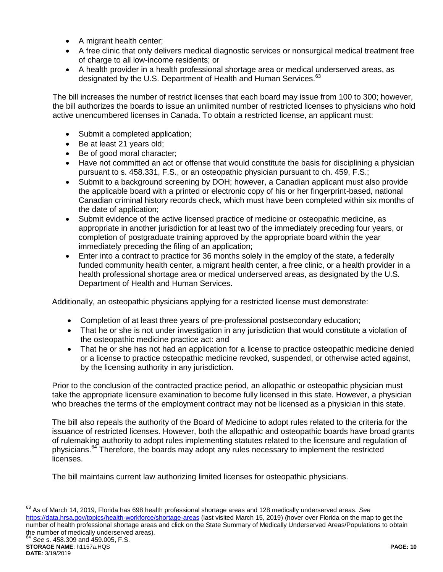- A migrant health center;
- A free clinic that only delivers medical diagnostic services or nonsurgical medical treatment free of charge to all low-income residents; or
- A health provider in a health professional shortage area or medical underserved areas, as designated by the U.S. Department of Health and Human Services.<sup>63</sup>

The bill increases the number of restrict licenses that each board may issue from 100 to 300; however, the bill authorizes the boards to issue an unlimited number of restricted licenses to physicians who hold active unencumbered licenses in Canada. To obtain a restricted license, an applicant must:

- Submit a completed application;
- Be at least 21 years old;
- Be of good moral character;
- Have not committed an act or offense that would constitute the basis for disciplining a physician pursuant to s. 458.331, F.S., or an osteopathic physician pursuant to ch. 459, F.S.;
- Submit to a background screening by DOH; however, a Canadian applicant must also provide the applicable board with a printed or electronic copy of his or her fingerprint-based, national Canadian criminal history records check, which must have been completed within six months of the date of application;
- Submit evidence of the active licensed practice of medicine or osteopathic medicine, as appropriate in another jurisdiction for at least two of the immediately preceding four years, or completion of postgraduate training approved by the appropriate board within the year immediately preceding the filing of an application;
- Enter into a contract to practice for 36 months solely in the employ of the state, a federally funded community health center, a migrant health center, a free clinic, or a health provider in a health professional shortage area or medical underserved areas, as designated by the U.S. Department of Health and Human Services.

Additionally, an osteopathic physicians applying for a restricted license must demonstrate:

- Completion of at least three years of pre-professional postsecondary education;
- That he or she is not under investigation in any jurisdiction that would constitute a violation of the osteopathic medicine practice act: and
- That he or she has not had an application for a license to practice osteopathic medicine denied or a license to practice osteopathic medicine revoked, suspended, or otherwise acted against, by the licensing authority in any jurisdiction.

Prior to the conclusion of the contracted practice period, an allopathic or osteopathic physician must take the appropriate licensure examination to become fully licensed in this state. However, a physician who breaches the terms of the employment contract may not be licensed as a physician in this state.

The bill also repeals the authority of the Board of Medicine to adopt rules related to the criteria for the issuance of restricted licenses. However, both the allopathic and osteopathic boards have broad grants of rulemaking authority to adopt rules implementing statutes related to the licensure and regulation of physicians.<sup>64</sup> Therefore, the boards may adopt any rules necessary to implement the restricted licenses.

The bill maintains current law authorizing limited licenses for osteopathic physicians.

<sup>63</sup> As of March 14, 2019, Florida has 698 health professional shortage areas and 128 medically underserved areas. *See*  <https://data.hrsa.gov/topics/health-workforce/shortage-areas> (last visited March 15, 2019) (hover over Florida on the map to get the number of health professional shortage areas and click on the State Summary of Medically Underserved Areas/Populations to obtain the number of medically underserved areas). <sup>64</sup> *See* s. 458.309 and 459.005, F.S.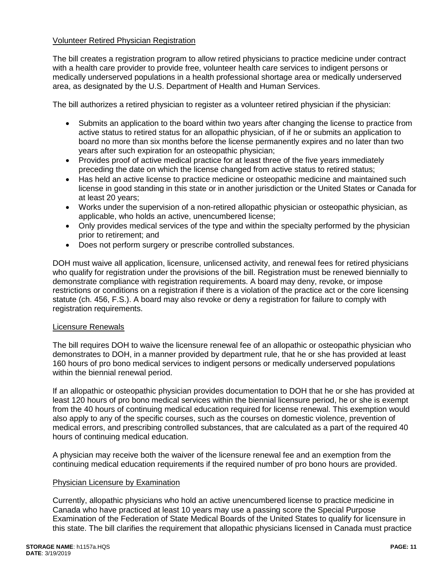#### Volunteer Retired Physician Registration

The bill creates a registration program to allow retired physicians to practice medicine under contract with a health care provider to provide free, volunteer health care services to indigent persons or medically underserved populations in a health professional shortage area or medically underserved area, as designated by the U.S. Department of Health and Human Services.

The bill authorizes a retired physician to register as a volunteer retired physician if the physician:

- Submits an application to the board within two years after changing the license to practice from active status to retired status for an allopathic physician, of if he or submits an application to board no more than six months before the license permanently expires and no later than two years after such expiration for an osteopathic physician;
- Provides proof of active medical practice for at least three of the five years immediately preceding the date on which the license changed from active status to retired status;
- Has held an active license to practice medicine or osteopathic medicine and maintained such license in good standing in this state or in another jurisdiction or the United States or Canada for at least 20 years;
- Works under the supervision of a non-retired allopathic physician or osteopathic physician, as applicable, who holds an active, unencumbered license;
- Only provides medical services of the type and within the specialty performed by the physician prior to retirement; and
- Does not perform surgery or prescribe controlled substances.

DOH must waive all application, licensure, unlicensed activity, and renewal fees for retired physicians who qualify for registration under the provisions of the bill. Registration must be renewed biennially to demonstrate compliance with registration requirements. A board may deny, revoke, or impose restrictions or conditions on a registration if there is a violation of the practice act or the core licensing statute (ch. 456, F.S.). A board may also revoke or deny a registration for failure to comply with registration requirements.

#### Licensure Renewals

The bill requires DOH to waive the licensure renewal fee of an allopathic or osteopathic physician who demonstrates to DOH, in a manner provided by department rule, that he or she has provided at least 160 hours of pro bono medical services to indigent persons or medically underserved populations within the biennial renewal period.

If an allopathic or osteopathic physician provides documentation to DOH that he or she has provided at least 120 hours of pro bono medical services within the biennial licensure period, he or she is exempt from the 40 hours of continuing medical education required for license renewal. This exemption would also apply to any of the specific courses, such as the courses on domestic violence, prevention of medical errors, and prescribing controlled substances, that are calculated as a part of the required 40 hours of continuing medical education.

A physician may receive both the waiver of the licensure renewal fee and an exemption from the continuing medical education requirements if the required number of pro bono hours are provided.

### Physician Licensure by Examination

Currently, allopathic physicians who hold an active unencumbered license to practice medicine in Canada who have practiced at least 10 years may use a passing score the Special Purpose Examination of the Federation of State Medical Boards of the United States to qualify for licensure in this state. The bill clarifies the requirement that allopathic physicians licensed in Canada must practice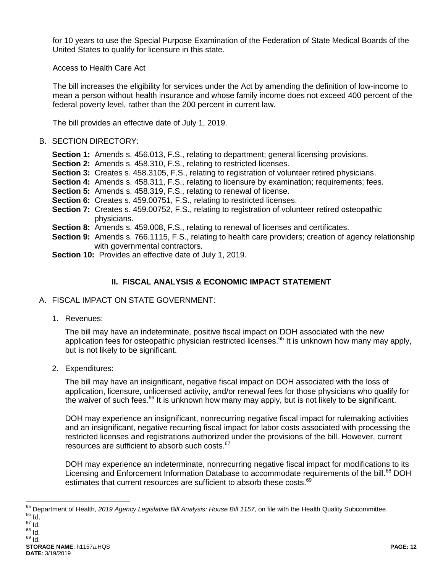for 10 years to use the Special Purpose Examination of the Federation of State Medical Boards of the United States to qualify for licensure in this state.

#### Access to Health Care Act

The bill increases the eligibility for services under the Act by amending the definition of low-income to mean a person without health insurance and whose family income does not exceed 400 percent of the federal poverty level, rather than the 200 percent in current law.

The bill provides an effective date of July 1, 2019.

#### B. SECTION DIRECTORY:

- **Section 1:** Amends s. 456.013, F.S., relating to department; general licensing provisions.
- **Section 2:** Amends s. 458.310, F.S., relating to restricted licenses.
- **Section 3:** Creates s. 458.3105, F.S., relating to registration of volunteer retired physicians.
- **Section 4:** Amends s. 458.311, F.S., relating to licensure by examination; requirements; fees.
- **Section 5:** Amends s. 458.319, F.S., relating to renewal of license.
- **Section 6:** Creates s. 459.00751, F.S., relating to restricted licenses.
- **Section 7:** Creates s. 459.00752, F.S., relating to registration of volunteer retired osteopathic physicians.
- **Section 8:** Amends s. 459.008, F.S., relating to renewal of licenses and certificates.
- **Section 9:** Amends s. 766.1115, F.S., relating to health care providers; creation of agency relationship with governmental contractors.
- **Section 10:** Provides an effective date of July 1, 2019.

# **II. FISCAL ANALYSIS & ECONOMIC IMPACT STATEMENT**

- A. FISCAL IMPACT ON STATE GOVERNMENT:
	- 1. Revenues:

The bill may have an indeterminate, positive fiscal impact on DOH associated with the new application fees for osteopathic physician restricted licenses.<sup>65</sup> It is unknown how many may apply, but is not likely to be significant.

2. Expenditures:

The bill may have an insignificant, negative fiscal impact on DOH associated with the loss of application, licensure, unlicensed activity, and/or renewal fees for those physicians who qualify for the waiver of such fees.<sup>66</sup> It is unknown how many may apply, but is not likely to be significant.

DOH may experience an insignificant, nonrecurring negative fiscal impact for rulemaking activities and an insignificant, negative recurring fiscal impact for labor costs associated with processing the restricted licenses and registrations authorized under the provisions of the bill. However, current resources are sufficient to absorb such costs. $67$ 

DOH may experience an indeterminate, nonrecurring negative fiscal impact for modifications to its Licensing and Enforcement Information Database to accommodate requirements of the bill.<sup>68</sup> DOH estimates that current resources are sufficient to absorb these costs.<sup>69</sup>

<sup>65</sup> Department of Health, *2019 Agency Legislative Bill Analysis: House Bill 1157*, on file with the Health Quality Subcommittee.

 $^{66}$  Id. <sup>67</sup> Id.